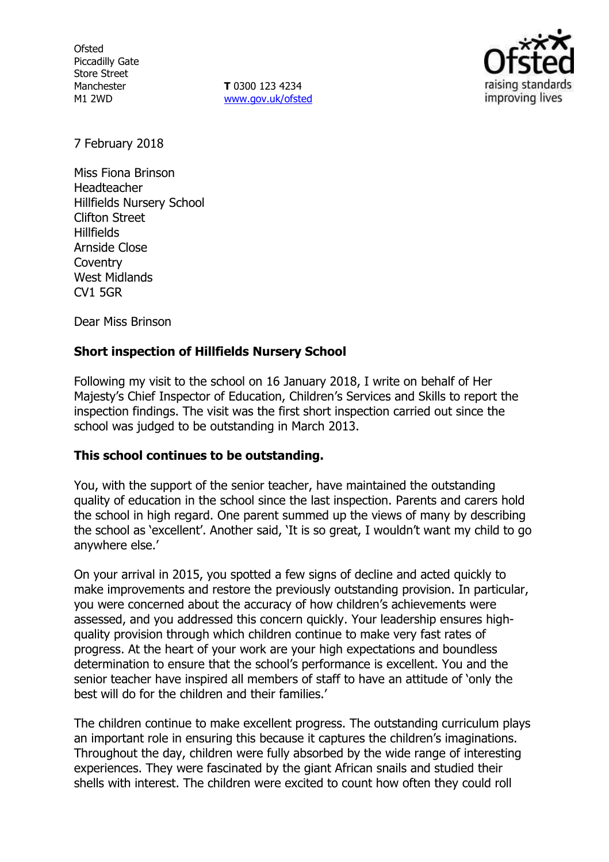**Ofsted** Piccadilly Gate Store Street Manchester M1 2WD

**T** 0300 123 4234 [www.gov.uk/ofsted](http://www.gov.uk/ofsted)



7 February 2018

Miss Fiona Brinson Headteacher Hillfields Nursery School Clifton Street **Hillfields** Arnside Close **Coventry** West Midlands CV1 5GR

Dear Miss Brinson

### **Short inspection of Hillfields Nursery School**

Following my visit to the school on 16 January 2018, I write on behalf of Her Majesty's Chief Inspector of Education, Children's Services and Skills to report the inspection findings. The visit was the first short inspection carried out since the school was judged to be outstanding in March 2013.

#### **This school continues to be outstanding.**

You, with the support of the senior teacher, have maintained the outstanding quality of education in the school since the last inspection. Parents and carers hold the school in high regard. One parent summed up the views of many by describing the school as 'excellent'. Another said, 'It is so great, I wouldn't want my child to go anywhere else.'

On your arrival in 2015, you spotted a few signs of decline and acted quickly to make improvements and restore the previously outstanding provision. In particular, you were concerned about the accuracy of how children's achievements were assessed, and you addressed this concern quickly. Your leadership ensures highquality provision through which children continue to make very fast rates of progress. At the heart of your work are your high expectations and boundless determination to ensure that the school's performance is excellent. You and the senior teacher have inspired all members of staff to have an attitude of 'only the best will do for the children and their families.'

The children continue to make excellent progress. The outstanding curriculum plays an important role in ensuring this because it captures the children's imaginations. Throughout the day, children were fully absorbed by the wide range of interesting experiences. They were fascinated by the giant African snails and studied their shells with interest. The children were excited to count how often they could roll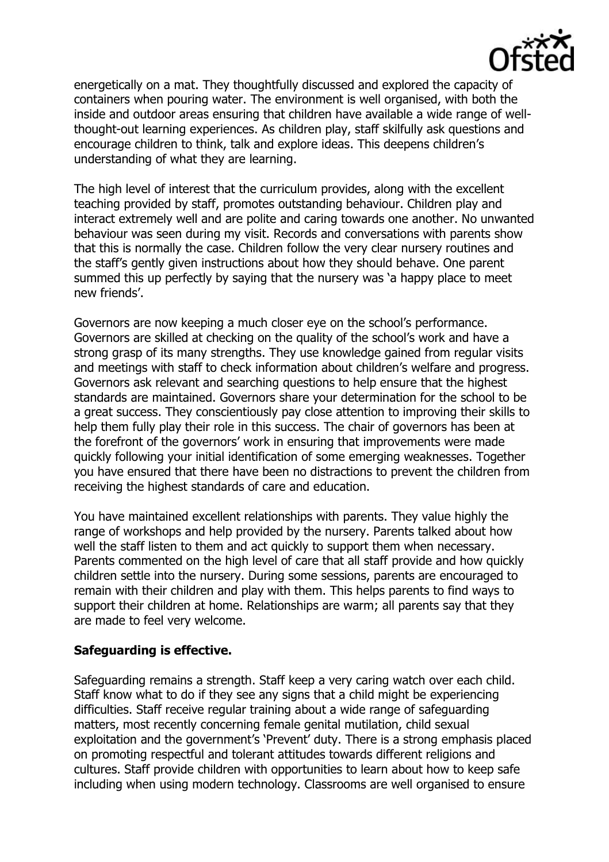

energetically on a mat. They thoughtfully discussed and explored the capacity of containers when pouring water. The environment is well organised, with both the inside and outdoor areas ensuring that children have available a wide range of wellthought-out learning experiences. As children play, staff skilfully ask questions and encourage children to think, talk and explore ideas. This deepens children's understanding of what they are learning.

The high level of interest that the curriculum provides, along with the excellent teaching provided by staff, promotes outstanding behaviour. Children play and interact extremely well and are polite and caring towards one another. No unwanted behaviour was seen during my visit. Records and conversations with parents show that this is normally the case. Children follow the very clear nursery routines and the staff's gently given instructions about how they should behave. One parent summed this up perfectly by saying that the nursery was 'a happy place to meet new friends'.

Governors are now keeping a much closer eye on the school's performance. Governors are skilled at checking on the quality of the school's work and have a strong grasp of its many strengths. They use knowledge gained from regular visits and meetings with staff to check information about children's welfare and progress. Governors ask relevant and searching questions to help ensure that the highest standards are maintained. Governors share your determination for the school to be a great success. They conscientiously pay close attention to improving their skills to help them fully play their role in this success. The chair of governors has been at the forefront of the governors' work in ensuring that improvements were made quickly following your initial identification of some emerging weaknesses. Together you have ensured that there have been no distractions to prevent the children from receiving the highest standards of care and education.

You have maintained excellent relationships with parents. They value highly the range of workshops and help provided by the nursery. Parents talked about how well the staff listen to them and act quickly to support them when necessary. Parents commented on the high level of care that all staff provide and how quickly children settle into the nursery. During some sessions, parents are encouraged to remain with their children and play with them. This helps parents to find ways to support their children at home. Relationships are warm; all parents say that they are made to feel very welcome.

## **Safeguarding is effective.**

Safeguarding remains a strength. Staff keep a very caring watch over each child. Staff know what to do if they see any signs that a child might be experiencing difficulties. Staff receive regular training about a wide range of safeguarding matters, most recently concerning female genital mutilation, child sexual exploitation and the government's 'Prevent' duty. There is a strong emphasis placed on promoting respectful and tolerant attitudes towards different religions and cultures. Staff provide children with opportunities to learn about how to keep safe including when using modern technology. Classrooms are well organised to ensure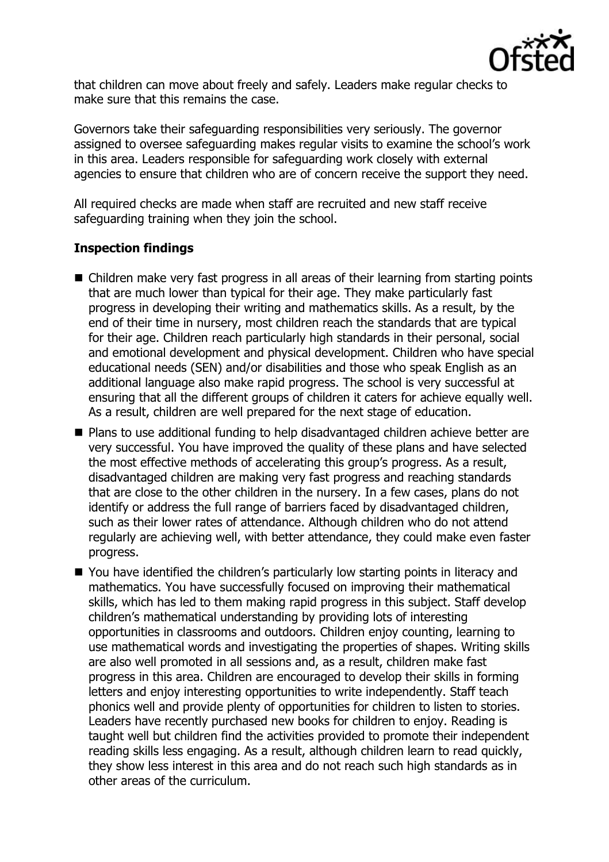

that children can move about freely and safely. Leaders make regular checks to make sure that this remains the case.

Governors take their safeguarding responsibilities very seriously. The governor assigned to oversee safeguarding makes regular visits to examine the school's work in this area. Leaders responsible for safeguarding work closely with external agencies to ensure that children who are of concern receive the support they need.

All required checks are made when staff are recruited and new staff receive safeguarding training when they join the school.

# **Inspection findings**

- Children make very fast progress in all areas of their learning from starting points that are much lower than typical for their age. They make particularly fast progress in developing their writing and mathematics skills. As a result, by the end of their time in nursery, most children reach the standards that are typical for their age. Children reach particularly high standards in their personal, social and emotional development and physical development. Children who have special educational needs (SEN) and/or disabilities and those who speak English as an additional language also make rapid progress. The school is very successful at ensuring that all the different groups of children it caters for achieve equally well. As a result, children are well prepared for the next stage of education.
- Plans to use additional funding to help disadvantaged children achieve better are very successful. You have improved the quality of these plans and have selected the most effective methods of accelerating this group's progress. As a result, disadvantaged children are making very fast progress and reaching standards that are close to the other children in the nursery. In a few cases, plans do not identify or address the full range of barriers faced by disadvantaged children, such as their lower rates of attendance. Although children who do not attend regularly are achieving well, with better attendance, they could make even faster progress.
- You have identified the children's particularly low starting points in literacy and mathematics. You have successfully focused on improving their mathematical skills, which has led to them making rapid progress in this subject. Staff develop children's mathematical understanding by providing lots of interesting opportunities in classrooms and outdoors. Children enjoy counting, learning to use mathematical words and investigating the properties of shapes. Writing skills are also well promoted in all sessions and, as a result, children make fast progress in this area. Children are encouraged to develop their skills in forming letters and enjoy interesting opportunities to write independently. Staff teach phonics well and provide plenty of opportunities for children to listen to stories. Leaders have recently purchased new books for children to enjoy. Reading is taught well but children find the activities provided to promote their independent reading skills less engaging. As a result, although children learn to read quickly, they show less interest in this area and do not reach such high standards as in other areas of the curriculum.